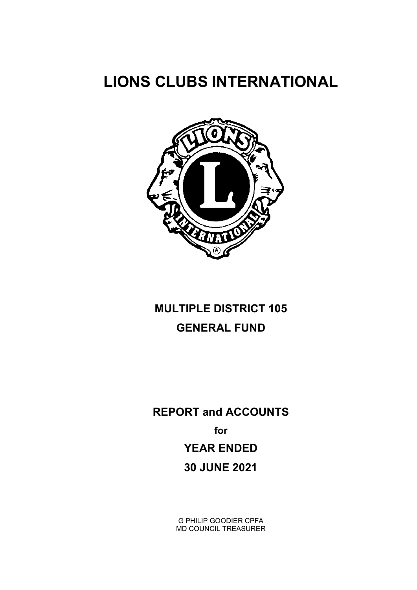# LIONS CLUBS INTERNATIONAL



# MULTIPLE DISTRICT 105 GENERAL FUND

REPORT and ACCOUNTS for YEAR ENDED 30 JUNE 2021

> G PHILIP GOODIER CPFA MD COUNCIL TREASURER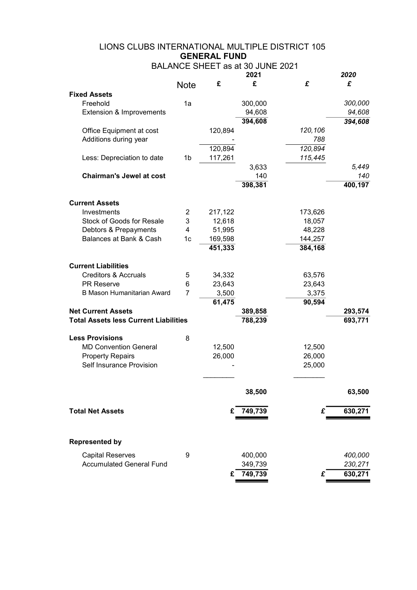| 2020<br>£<br>£<br>£<br>£<br><b>Note</b><br><b>Fixed Assets</b><br>Freehold<br>1a<br>300,000<br>300,000<br>94,608<br>94,608<br>Extension & Improvements<br>394,608<br>394,608<br>Office Equipment at cost<br>120,894<br>120,106<br>Additions during year<br>788<br>120,894<br>120,894<br>115,445<br>Less: Depreciation to date<br>1b<br>117,261<br>5,449<br>3,633<br><b>Chairman's Jewel at cost</b><br>140<br>398,381<br>400,197<br><b>Current Assets</b><br>Investments<br>$\overline{2}$<br>217,122<br>173,626<br><b>Stock of Goods for Resale</b><br>3<br>12,618<br>18,057<br>48,228<br>Debtors & Prepayments<br>4<br>51,995<br>Balances at Bank & Cash<br>144,257<br>1c<br>169,598<br>451,333<br>384,168<br><b>Current Liabilities</b><br><b>Creditors &amp; Accruals</b><br>5<br>34,332<br>63,576<br><b>PR Reserve</b><br>6<br>23,643<br>23,643<br><b>B Mason Humanitarian Award</b><br>3,500<br>3,375<br>7<br>61,475<br>90,594<br><b>Net Current Assets</b><br>389,858<br><b>Total Assets less Current Liabilities</b><br>788,239<br>693,771<br><b>Less Provisions</b><br>8<br><b>MD Convention General</b><br>12,500<br>12,500<br><b>Property Repairs</b><br>26,000<br>26,000<br>Self Insurance Provision<br>25,000<br>38,500<br>63,500<br>749,739<br>630,271<br>£<br><b>Total Net Assets</b><br>£<br><b>Represented by</b><br><b>Capital Reserves</b><br>9<br>400,000<br>400,000<br><b>Accumulated General Fund</b><br>230,271<br>349,739<br>749,739<br>630,271<br>£<br>£ |  | BALANCE SHEET as at 30 JUNE 2021<br>2021 |  |
|-----------------------------------------------------------------------------------------------------------------------------------------------------------------------------------------------------------------------------------------------------------------------------------------------------------------------------------------------------------------------------------------------------------------------------------------------------------------------------------------------------------------------------------------------------------------------------------------------------------------------------------------------------------------------------------------------------------------------------------------------------------------------------------------------------------------------------------------------------------------------------------------------------------------------------------------------------------------------------------------------------------------------------------------------------------------------------------------------------------------------------------------------------------------------------------------------------------------------------------------------------------------------------------------------------------------------------------------------------------------------------------------------------------------------------------------------------------------------------------|--|------------------------------------------|--|
|                                                                                                                                                                                                                                                                                                                                                                                                                                                                                                                                                                                                                                                                                                                                                                                                                                                                                                                                                                                                                                                                                                                                                                                                                                                                                                                                                                                                                                                                                   |  |                                          |  |
|                                                                                                                                                                                                                                                                                                                                                                                                                                                                                                                                                                                                                                                                                                                                                                                                                                                                                                                                                                                                                                                                                                                                                                                                                                                                                                                                                                                                                                                                                   |  |                                          |  |
| 140                                                                                                                                                                                                                                                                                                                                                                                                                                                                                                                                                                                                                                                                                                                                                                                                                                                                                                                                                                                                                                                                                                                                                                                                                                                                                                                                                                                                                                                                               |  |                                          |  |
|                                                                                                                                                                                                                                                                                                                                                                                                                                                                                                                                                                                                                                                                                                                                                                                                                                                                                                                                                                                                                                                                                                                                                                                                                                                                                                                                                                                                                                                                                   |  |                                          |  |
|                                                                                                                                                                                                                                                                                                                                                                                                                                                                                                                                                                                                                                                                                                                                                                                                                                                                                                                                                                                                                                                                                                                                                                                                                                                                                                                                                                                                                                                                                   |  |                                          |  |
|                                                                                                                                                                                                                                                                                                                                                                                                                                                                                                                                                                                                                                                                                                                                                                                                                                                                                                                                                                                                                                                                                                                                                                                                                                                                                                                                                                                                                                                                                   |  |                                          |  |
|                                                                                                                                                                                                                                                                                                                                                                                                                                                                                                                                                                                                                                                                                                                                                                                                                                                                                                                                                                                                                                                                                                                                                                                                                                                                                                                                                                                                                                                                                   |  |                                          |  |
|                                                                                                                                                                                                                                                                                                                                                                                                                                                                                                                                                                                                                                                                                                                                                                                                                                                                                                                                                                                                                                                                                                                                                                                                                                                                                                                                                                                                                                                                                   |  |                                          |  |
|                                                                                                                                                                                                                                                                                                                                                                                                                                                                                                                                                                                                                                                                                                                                                                                                                                                                                                                                                                                                                                                                                                                                                                                                                                                                                                                                                                                                                                                                                   |  |                                          |  |
|                                                                                                                                                                                                                                                                                                                                                                                                                                                                                                                                                                                                                                                                                                                                                                                                                                                                                                                                                                                                                                                                                                                                                                                                                                                                                                                                                                                                                                                                                   |  |                                          |  |
|                                                                                                                                                                                                                                                                                                                                                                                                                                                                                                                                                                                                                                                                                                                                                                                                                                                                                                                                                                                                                                                                                                                                                                                                                                                                                                                                                                                                                                                                                   |  |                                          |  |
|                                                                                                                                                                                                                                                                                                                                                                                                                                                                                                                                                                                                                                                                                                                                                                                                                                                                                                                                                                                                                                                                                                                                                                                                                                                                                                                                                                                                                                                                                   |  |                                          |  |
|                                                                                                                                                                                                                                                                                                                                                                                                                                                                                                                                                                                                                                                                                                                                                                                                                                                                                                                                                                                                                                                                                                                                                                                                                                                                                                                                                                                                                                                                                   |  |                                          |  |
|                                                                                                                                                                                                                                                                                                                                                                                                                                                                                                                                                                                                                                                                                                                                                                                                                                                                                                                                                                                                                                                                                                                                                                                                                                                                                                                                                                                                                                                                                   |  |                                          |  |
|                                                                                                                                                                                                                                                                                                                                                                                                                                                                                                                                                                                                                                                                                                                                                                                                                                                                                                                                                                                                                                                                                                                                                                                                                                                                                                                                                                                                                                                                                   |  |                                          |  |
|                                                                                                                                                                                                                                                                                                                                                                                                                                                                                                                                                                                                                                                                                                                                                                                                                                                                                                                                                                                                                                                                                                                                                                                                                                                                                                                                                                                                                                                                                   |  |                                          |  |
|                                                                                                                                                                                                                                                                                                                                                                                                                                                                                                                                                                                                                                                                                                                                                                                                                                                                                                                                                                                                                                                                                                                                                                                                                                                                                                                                                                                                                                                                                   |  |                                          |  |
| 293,574                                                                                                                                                                                                                                                                                                                                                                                                                                                                                                                                                                                                                                                                                                                                                                                                                                                                                                                                                                                                                                                                                                                                                                                                                                                                                                                                                                                                                                                                           |  |                                          |  |
|                                                                                                                                                                                                                                                                                                                                                                                                                                                                                                                                                                                                                                                                                                                                                                                                                                                                                                                                                                                                                                                                                                                                                                                                                                                                                                                                                                                                                                                                                   |  |                                          |  |
|                                                                                                                                                                                                                                                                                                                                                                                                                                                                                                                                                                                                                                                                                                                                                                                                                                                                                                                                                                                                                                                                                                                                                                                                                                                                                                                                                                                                                                                                                   |  |                                          |  |
|                                                                                                                                                                                                                                                                                                                                                                                                                                                                                                                                                                                                                                                                                                                                                                                                                                                                                                                                                                                                                                                                                                                                                                                                                                                                                                                                                                                                                                                                                   |  |                                          |  |
|                                                                                                                                                                                                                                                                                                                                                                                                                                                                                                                                                                                                                                                                                                                                                                                                                                                                                                                                                                                                                                                                                                                                                                                                                                                                                                                                                                                                                                                                                   |  |                                          |  |
|                                                                                                                                                                                                                                                                                                                                                                                                                                                                                                                                                                                                                                                                                                                                                                                                                                                                                                                                                                                                                                                                                                                                                                                                                                                                                                                                                                                                                                                                                   |  |                                          |  |
|                                                                                                                                                                                                                                                                                                                                                                                                                                                                                                                                                                                                                                                                                                                                                                                                                                                                                                                                                                                                                                                                                                                                                                                                                                                                                                                                                                                                                                                                                   |  |                                          |  |
|                                                                                                                                                                                                                                                                                                                                                                                                                                                                                                                                                                                                                                                                                                                                                                                                                                                                                                                                                                                                                                                                                                                                                                                                                                                                                                                                                                                                                                                                                   |  |                                          |  |
|                                                                                                                                                                                                                                                                                                                                                                                                                                                                                                                                                                                                                                                                                                                                                                                                                                                                                                                                                                                                                                                                                                                                                                                                                                                                                                                                                                                                                                                                                   |  |                                          |  |
|                                                                                                                                                                                                                                                                                                                                                                                                                                                                                                                                                                                                                                                                                                                                                                                                                                                                                                                                                                                                                                                                                                                                                                                                                                                                                                                                                                                                                                                                                   |  |                                          |  |
|                                                                                                                                                                                                                                                                                                                                                                                                                                                                                                                                                                                                                                                                                                                                                                                                                                                                                                                                                                                                                                                                                                                                                                                                                                                                                                                                                                                                                                                                                   |  |                                          |  |
|                                                                                                                                                                                                                                                                                                                                                                                                                                                                                                                                                                                                                                                                                                                                                                                                                                                                                                                                                                                                                                                                                                                                                                                                                                                                                                                                                                                                                                                                                   |  |                                          |  |
|                                                                                                                                                                                                                                                                                                                                                                                                                                                                                                                                                                                                                                                                                                                                                                                                                                                                                                                                                                                                                                                                                                                                                                                                                                                                                                                                                                                                                                                                                   |  |                                          |  |
|                                                                                                                                                                                                                                                                                                                                                                                                                                                                                                                                                                                                                                                                                                                                                                                                                                                                                                                                                                                                                                                                                                                                                                                                                                                                                                                                                                                                                                                                                   |  |                                          |  |
|                                                                                                                                                                                                                                                                                                                                                                                                                                                                                                                                                                                                                                                                                                                                                                                                                                                                                                                                                                                                                                                                                                                                                                                                                                                                                                                                                                                                                                                                                   |  |                                          |  |
|                                                                                                                                                                                                                                                                                                                                                                                                                                                                                                                                                                                                                                                                                                                                                                                                                                                                                                                                                                                                                                                                                                                                                                                                                                                                                                                                                                                                                                                                                   |  |                                          |  |
|                                                                                                                                                                                                                                                                                                                                                                                                                                                                                                                                                                                                                                                                                                                                                                                                                                                                                                                                                                                                                                                                                                                                                                                                                                                                                                                                                                                                                                                                                   |  |                                          |  |
|                                                                                                                                                                                                                                                                                                                                                                                                                                                                                                                                                                                                                                                                                                                                                                                                                                                                                                                                                                                                                                                                                                                                                                                                                                                                                                                                                                                                                                                                                   |  |                                          |  |
|                                                                                                                                                                                                                                                                                                                                                                                                                                                                                                                                                                                                                                                                                                                                                                                                                                                                                                                                                                                                                                                                                                                                                                                                                                                                                                                                                                                                                                                                                   |  |                                          |  |
|                                                                                                                                                                                                                                                                                                                                                                                                                                                                                                                                                                                                                                                                                                                                                                                                                                                                                                                                                                                                                                                                                                                                                                                                                                                                                                                                                                                                                                                                                   |  |                                          |  |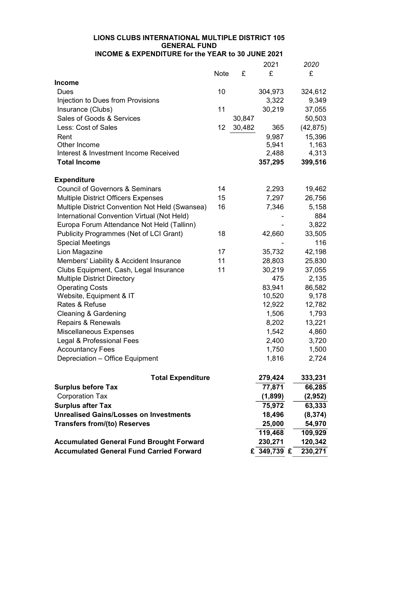|                                                 |      |        | 2021        | 2020      |
|-------------------------------------------------|------|--------|-------------|-----------|
|                                                 | Note | £      | £           | £         |
| <b>Income</b>                                   |      |        |             |           |
| Dues                                            | 10   |        | 304,973     | 324,612   |
| Injection to Dues from Provisions               |      |        | 3,322       | 9,349     |
| Insurance (Clubs)                               | 11   |        | 30,219      | 37,055    |
| Sales of Goods & Services                       |      | 30,847 |             | 50,503    |
| Less: Cost of Sales                             | 12   | 30,482 | 365         | (42, 875) |
| Rent                                            |      |        | 9,987       | 15,396    |
| Other Income                                    |      |        | 5,941       | 1,163     |
| Interest & Investment Income Received           |      |        | 2,488       | 4,313     |
| <b>Total Income</b>                             |      |        | 357,295     | 399,516   |
| <b>Expenditure</b>                              |      |        |             |           |
| <b>Council of Governors &amp; Seminars</b>      | 14   |        | 2,293       | 19,462    |
| <b>Multiple District Officers Expenses</b>      | 15   |        | 7,297       | 26,756    |
| Multiple District Convention Not Held (Swansea) | 16   |        | 7,346       | 5,158     |
| International Convention Virtual (Not Held)     |      |        |             | 884       |
| Europa Forum Attendance Not Held (Tallinn)      |      |        |             | 3,822     |
| Publicity Programmes (Net of LCI Grant)         | 18   |        | 42,660      | 33,505    |
| <b>Special Meetings</b>                         |      |        |             | 116       |
| Lion Magazine                                   | 17   |        | 35,732      | 42,198    |
| Members' Liability & Accident Insurance         | 11   |        | 28,803      | 25,830    |
| Clubs Equipment, Cash, Legal Insurance          | 11   |        | 30,219      | 37,055    |
| <b>Multiple District Directory</b>              |      |        | 475         | 2,135     |
| <b>Operating Costs</b>                          |      |        | 83,941      | 86,582    |
| Website, Equipment & IT                         |      |        | 10,520      | 9,178     |
| Rates & Refuse                                  |      |        | 12,922      | 12,782    |
| <b>Cleaning &amp; Gardening</b>                 |      |        | 1,506       | 1,793     |
| <b>Repairs &amp; Renewals</b>                   |      |        | 8,202       | 13,221    |
| Miscellaneous Expenses                          |      |        | 1,542       | 4,860     |
| Legal & Professional Fees                       |      |        | 2,400       | 3,720     |
| <b>Accountancy Fees</b>                         |      |        | 1,750       | 1,500     |
| Depreciation - Office Equipment                 |      |        | 1,816       | 2,724     |
| <b>Total Expenditure</b>                        |      |        | 279,424     | 333,231   |
| <b>Surplus before Tax</b>                       |      |        | 77,871      | 66,285    |
| <b>Corporation Tax</b>                          |      |        | (1,899)     | (2,952)   |
| <b>Surplus after Tax</b>                        |      |        | 75,972      | 63,333    |
| <b>Unrealised Gains/Losses on Investments</b>   |      |        | 18,496      | (8, 374)  |
| <b>Transfers from/(to) Reserves</b>             |      |        | 25,000      | 54,970    |
|                                                 |      |        | 119,468     | 109,929   |
| <b>Accumulated General Fund Brought Forward</b> |      |        | 230,271     | 120,342   |
| <b>Accumulated General Fund Carried Forward</b> |      |        | £ 349,739 £ | 230,271   |
|                                                 |      |        |             |           |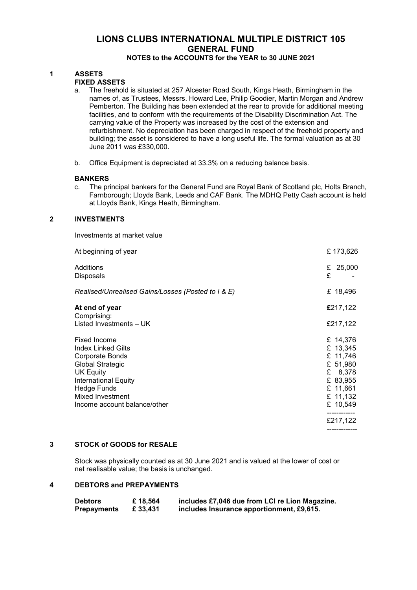# NOTES to the ACCOUNTS for the YEAR to 30 JUNE 2021

# 1 ASSETS

# FIXED ASSETS

- a. The freehold is situated at 257 Alcester Road South, Kings Heath, Birmingham in the names of, as Trustees, Messrs. Howard Lee, Philip Goodier, Martin Morgan and Andrew Pemberton. The Building has been extended at the rear to provide for additional meeting facilities, and to conform with the requirements of the Disability Discrimination Act. The carrying value of the Property was increased by the cost of the extension and refurbishment. No depreciation has been charged in respect of the freehold property and building; the asset is considered to have a long useful life. The formal valuation as at 30 June 2011 was £330,000.
- b. Office Equipment is depreciated at 33.3% on a reducing balance basis.

### BANKERS

c. The principal bankers for the General Fund are Royal Bank of Scotland plc, Holts Branch, Farnborough; Lloyds Bank, Leeds and CAF Bank. The MDHQ Petty Cash account is held at Lloyds Bank, Kings Heath, Birmingham.

## 2 INVESTMENTS

| Investments at market value                                                                                                                                                                                                 |                                                                                                         |
|-----------------------------------------------------------------------------------------------------------------------------------------------------------------------------------------------------------------------------|---------------------------------------------------------------------------------------------------------|
| At beginning of year                                                                                                                                                                                                        | £173,626                                                                                                |
| Additions<br>£<br>£<br><b>Disposals</b>                                                                                                                                                                                     | 25,000                                                                                                  |
| Realised/Unrealised Gains/Losses (Posted to I & E)                                                                                                                                                                          | £ 18,496                                                                                                |
| At end of year<br>Comprising:                                                                                                                                                                                               | £217,122                                                                                                |
| Listed Investments - UK                                                                                                                                                                                                     | £217,122                                                                                                |
| Fixed Income<br><b>Index Linked Gilts</b><br><b>Corporate Bonds</b><br><b>Global Strategic</b><br><b>UK Equity</b><br><b>International Equity</b><br><b>Hedge Funds</b><br>Mixed Investment<br>Income account balance/other | £ 14,376<br>£ 13,345<br>£ 11,746<br>£ 51,980<br>£ 8,378<br>£ 83,955<br>£ 11,661<br>£ 11,132<br>£ 10,549 |
|                                                                                                                                                                                                                             | -----------<br>£217,122<br>-------------                                                                |

#### 3 STOCK of GOODS for RESALE

Stock was physically counted as at 30 June 2021 and is valued at the lower of cost or net realisable value; the basis is unchanged.

## 4 DEBTORS and PREPAYMENTS

| <b>Debtors</b>     | £18,564  | includes £7,046 due from LCI re Lion Magazine. |
|--------------------|----------|------------------------------------------------|
| <b>Prepayments</b> | £ 33,431 | includes Insurance apportionment, £9,615.      |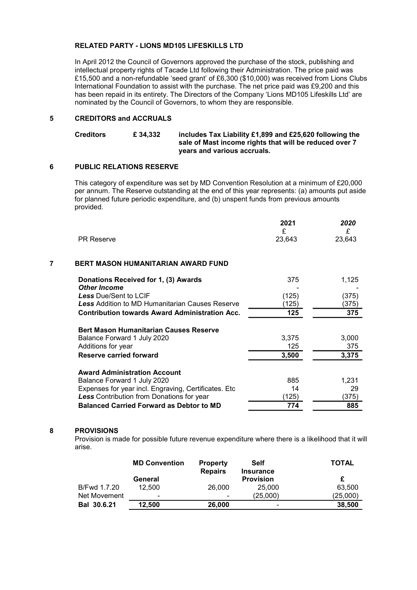## RELATED PARTY - LIONS MD105 LIFESKILLS LTD

In April 2012 the Council of Governors approved the purchase of the stock, publishing and intellectual property rights of Tacade Ltd following their Administration. The price paid was £15,500 and a non-refundable 'seed grant' of £6,300 (\$10,000) was received from Lions Clubs International Foundation to assist with the purchase. The net price paid was £9,200 and this has been repaid in its entirety. The Directors of the Company 'Lions MD105 Lifeskills Ltd' are nominated by the Council of Governors, to whom they are responsible.

## 5 CREDITORS and ACCRUALS

| <b>Creditors</b> | £ 34.332 | includes Tax Liability £1,899 and £25,620 following the |
|------------------|----------|---------------------------------------------------------|
|                  |          | sale of Mast income rights that will be reduced over 7  |
|                  |          | years and various accruals.                             |

## 6 PUBLIC RELATIONS RESERVE

This category of expenditure was set by MD Convention Resolution at a minimum of £20,000 per annum. The Reserve outstanding at the end of this year represents: (a) amounts put aside for planned future periodic expenditure, and (b) unspent funds from previous amounts provided.

|                                                        | 2021<br>£ | 2020<br>£ |
|--------------------------------------------------------|-----------|-----------|
| <b>PR Reserve</b>                                      | 23,643    | 23,643    |
| 7<br>BERT MASON HUMANITARIAN AWARD FUND                |           |           |
| Donations Received for 1, (3) Awards                   | 375       | 1,125     |
| <b>Other Income</b>                                    |           |           |
| Less Due/Sent to LCIF                                  | (125)     | (375)     |
| <b>Less Addition to MD Humanitarian Causes Reserve</b> | 125)      | (375)     |
| <b>Contribution towards Award Administration Acc.</b>  | 125       | 375       |
| <b>Bert Mason Humanitarian Causes Reserve</b>          |           |           |
| Balance Forward 1 July 2020                            | 3,375     | 3,000     |
| Additions for year                                     | 125       | 375       |
| Reserve carried forward                                | 3,500     | 3,375     |
| <b>Award Administration Account</b>                    |           |           |
| Balance Forward 1 July 2020                            | 885       | 1,231     |
| Expenses for year incl. Engraving, Certificates. Etc   | 14        | 29        |
| <b>Less</b> Contribution from Donations for year       | (125)     | (375)     |
| <b>Balanced Carried Forward as Debtor to MD</b>        | 774       | 885       |

#### 8 PROVISIONS

Provision is made for possible future revenue expenditure where there is a likelihood that it will arise.

|                    | <b>MD Convention</b> | <b>Property</b><br><b>Repairs</b> | <b>Self</b><br><b>Insurance</b> | TOTAL    |
|--------------------|----------------------|-----------------------------------|---------------------------------|----------|
|                    | General              |                                   | <b>Provision</b>                |          |
| B/Fwd 1.7.20       | 12.500               | 26,000                            | 25,000                          | 63,500   |
| Net Movement       | $\blacksquare$       | $\overline{\phantom{0}}$          | (25,000)                        | (25,000) |
| <b>Bal 30.6.21</b> | 12.500               | 26,000                            | $\overline{\phantom{0}}$        | 38,500   |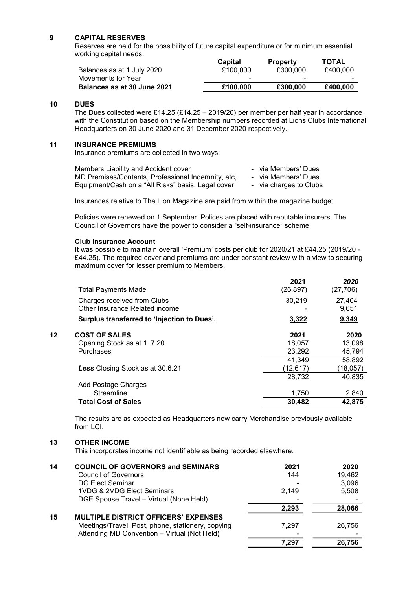### 9 CAPITAL RESERVES

Reserves are held for the possibility of future capital expenditure or for minimum essential working capital needs.

| Balances as at 1 July 2020  | Capital<br>£100,000 | <b>Property</b><br>£300,000 | <b>TOTAL</b><br>£400.000 |
|-----------------------------|---------------------|-----------------------------|--------------------------|
| Movements for Year          | -                   | -                           | -                        |
| Balances as at 30 June 2021 | £100,000            | £300,000                    | £400,000                 |

#### 10 DUES

The Dues collected were £14.25 (£14.25 – 2019/20) per member per half year in accordance with the Constitution based on the Membership numbers recorded at Lions Clubs International Headquarters on 30 June 2020 and 31 December 2020 respectively.

#### 11 INSURANCE PREMIUMS

Insurance premiums are collected in two ways:

| Members Liability and Accident cover               | - via Members' Dues    |
|----------------------------------------------------|------------------------|
| MD Premises/Contents, Professional Indemnity, etc. | - via Members' Dues    |
| Equipment/Cash on a "All Risks" basis, Legal cover | - via charges to Clubs |

Insurances relative to The Lion Magazine are paid from within the magazine budget.

Policies were renewed on 1 September. Polices are placed with reputable insurers. The Council of Governors have the power to consider a "self-insurance" scheme.

#### Club Insurance Account

It was possible to maintain overall 'Premium' costs per club for 2020/21 at £44.25 (2019/20 - £44.25). The required cover and premiums are under constant review with a view to securing maximum cover for lesser premium to Members.

|    | <b>Total Payments Made</b>                                    | 2021<br>(26, 897) | 2020<br>(27, 706) |
|----|---------------------------------------------------------------|-------------------|-------------------|
|    | Charges received from Clubs<br>Other Insurance Related income | 30,219            | 27,404<br>9,651   |
|    | Surplus transferred to 'Injection to Dues'.                   | 3,322             | 9,349             |
| 12 | <b>COST OF SALES</b>                                          | 2021              | 2020              |
|    | Opening Stock as at 1.7.20                                    | 18.057            | 13,098            |
|    | Purchases                                                     | 23,292            | 45,794            |
|    |                                                               | 41,349            | 58,892            |
|    | <b>Less</b> Closing Stock as at 30.6.21                       | (12,617)          | (18,057)          |
|    |                                                               | 28,732            | 40,835            |
|    | Add Postage Charges                                           |                   |                   |
|    | Streamline                                                    | 1.750             | 2,840             |
|    | <b>Total Cost of Sales</b>                                    | 30,482            | 42,875            |

The results are as expected as Headquarters now carry Merchandise previously available from LCI.

#### 13 OTHER INCOME

This incorporates income not identifiable as being recorded elsewhere.

| 14 | <b>COUNCIL OF GOVERNORS and SEMINARS</b>          | 2021  | 2020   |
|----|---------------------------------------------------|-------|--------|
|    | <b>Council of Governors</b>                       | 144   | 19,462 |
|    | <b>DG Elect Seminar</b>                           |       | 3,096  |
|    | 1VDG & 2VDG Elect Seminars                        | 2.149 | 5,508  |
|    | DGE Spouse Travel - Virtual (None Held)           |       |        |
|    |                                                   | 2.293 | 28,066 |
| 15 | <b>MULTIPLE DISTRICT OFFICERS' EXPENSES</b>       |       |        |
|    | Meetings/Travel, Post, phone, stationery, copying | 7.297 | 26.756 |
|    | Attending MD Convention - Virtual (Not Held)      |       |        |
|    |                                                   | 7.297 | 26,756 |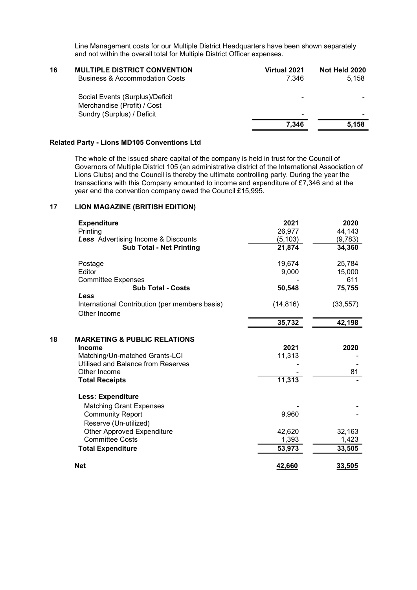Line Management costs for our Multiple District Headquarters have been shown separately and not within the overall total for Multiple District Officer expenses.

| 16 | <b>MULTIPLE DISTRICT CONVENTION</b><br><b>Business &amp; Accommodation Costs</b> | Virtual 2021<br>7.346 | Not Held 2020<br>5,158 |
|----|----------------------------------------------------------------------------------|-----------------------|------------------------|
|    | Social Events (Surplus)/Deficit                                                  | -                     |                        |
|    | Merchandise (Profit) / Cost                                                      |                       |                        |
|    | Sundry (Surplus) / Deficit                                                       | -                     |                        |
|    |                                                                                  | 7.346                 | 5.158                  |
|    |                                                                                  |                       |                        |

# Related Party - Lions MD105 Conventions Ltd

The whole of the issued share capital of the company is held in trust for the Council of Governors of Multiple District 105 (an administrative district of the International Association of Lions Clubs) and the Council is thereby the ultimate controlling party. During the year the transactions with this Company amounted to income and expenditure of £7,346 and at the year end the convention company owed the Council £15,995.

## 17 LION MAGAZINE (BRITISH EDITION)

| 26,977<br>(5, 103)<br>21,874<br>19,674<br>9,000 | 44,143<br>(9,783)<br>34,360<br>25,784<br>15,000        |
|-------------------------------------------------|--------------------------------------------------------|
|                                                 |                                                        |
|                                                 |                                                        |
|                                                 |                                                        |
|                                                 |                                                        |
|                                                 |                                                        |
|                                                 | 611                                                    |
|                                                 | 75,755                                                 |
|                                                 |                                                        |
| (14, 816)                                       | (33, 557)                                              |
| 35,732                                          | 42,198                                                 |
|                                                 |                                                        |
| 2021                                            | 2020                                                   |
|                                                 |                                                        |
|                                                 |                                                        |
|                                                 | 81                                                     |
| 11,313                                          |                                                        |
|                                                 |                                                        |
|                                                 |                                                        |
|                                                 |                                                        |
|                                                 |                                                        |
|                                                 | 32,163                                                 |
|                                                 | 1,423                                                  |
| 53,973                                          | 33,505                                                 |
|                                                 | 33,505                                                 |
|                                                 | 50,548<br>11,313<br>9,960<br>42,620<br>1,393<br>42,660 |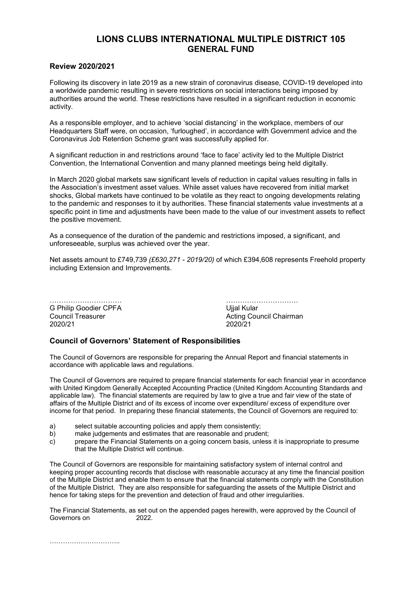# Review 2020/2021

Following its discovery in late 2019 as a new strain of coronavirus disease, COVID-19 developed into a worldwide pandemic resulting in severe restrictions on social interactions being imposed by authorities around the world. These restrictions have resulted in a significant reduction in economic activity.

As a responsible employer, and to achieve 'social distancing' in the workplace, members of our Headquarters Staff were, on occasion, 'furloughed', in accordance with Government advice and the Coronavirus Job Retention Scheme grant was successfully applied for.

A significant reduction in and restrictions around 'face to face' activity led to the Multiple District Convention, the International Convention and many planned meetings being held digitally.

In March 2020 global markets saw significant levels of reduction in capital values resulting in falls in the Association's investment asset values. While asset values have recovered from initial market shocks, Global markets have continued to be volatile as they react to ongoing developments relating to the pandemic and responses to it by authorities. These financial statements value investments at a specific point in time and adjustments have been made to the value of our investment assets to reflect the positive movement.

As a consequence of the duration of the pandemic and restrictions imposed, a significant, and unforeseeable, surplus was achieved over the year.

Net assets amount to £749,739 (£630,271 - 2019/20) of which £394,608 represents Freehold property including Extension and Improvements.

| G Philip Goodier CPFA |
|-----------------------|
| Council Treasurer     |
| 2020/21               |

…………………………… **Uijal Kular Acting Council Chairman** 2020/21

## Council of Governors' Statement of Responsibilities

The Council of Governors are responsible for preparing the Annual Report and financial statements in accordance with applicable laws and regulations.

The Council of Governors are required to prepare financial statements for each financial year in accordance with United Kingdom Generally Accepted Accounting Practice (United Kingdom Accounting Standards and applicable law). The financial statements are required by law to give a true and fair view of the state of affairs of the Multiple District and of its excess of income over expenditure/ excess of expenditure over income for that period. In preparing these financial statements, the Council of Governors are required to:

- a) select suitable accounting policies and apply them consistently;
- b) make judgements and estimates that are reasonable and prudent;
- c) prepare the Financial Statements on a going concern basis, unless it is inappropriate to presume that the Multiple District will continue.

The Council of Governors are responsible for maintaining satisfactory system of internal control and keeping proper accounting records that disclose with reasonable accuracy at any time the financial position of the Multiple District and enable them to ensure that the financial statements comply with the Constitution of the Multiple District. They are also responsible for safeguarding the assets of the Multiple District and hence for taking steps for the prevention and detection of fraud and other irregularities.

The Financial Statements, as set out on the appended pages herewith, were approved by the Council of Governors on 2022 Governors on

…………………………..